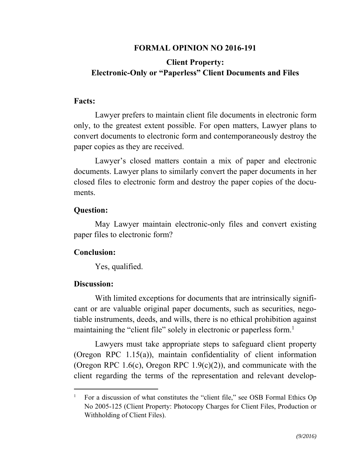## **FORMAL OPINION NO 2016-191**

# **Client Property: Electronic-Only or "Paperless" Client Documents and Files**

#### **Facts:**

Lawyer prefers to maintain client file documents in electronic form only, to the greatest extent possible. For open matters, Lawyer plans to convert documents to electronic form and contemporaneously destroy the paper copies as they are received.

Lawyer's closed matters contain a mix of paper and electronic documents. Lawyer plans to similarly convert the paper documents in her closed files to electronic form and destroy the paper copies of the documents.

### **Question:**

May Lawyer maintain electronic-only files and convert existing paper files to electronic form?

## **Conclusion:**

Yes, qualified.

## **Discussion:**

 $\overline{a}$ 

With limited exceptions for documents that are intrinsically significant or are valuable original paper documents, such as securities, negotiable instruments, deeds, and wills, there is no ethical prohibition against maintaining the "client file" solely in electronic or paperless form.<sup>1</sup>

Lawyers must take appropriate steps to safeguard client property (Oregon RPC 1.15(a)), maintain confidentiality of client information (Oregon RPC 1.6(c), Oregon RPC 1.9(c)(2)), and communicate with the client regarding the terms of the representation and relevant develop-

<sup>1</sup> For a discussion of what constitutes the "client file," see OSB Formal Ethics Op No 2005-125 (Client Property: Photocopy Charges for Client Files, Production or Withholding of Client Files).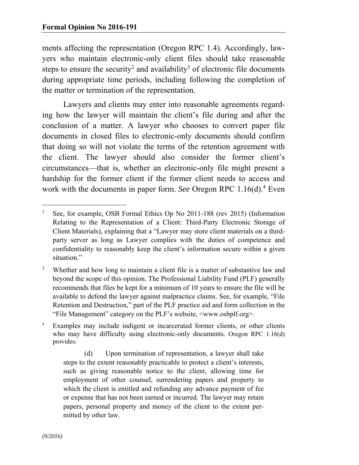ments affecting the representation (Oregon RPC 1.4). Accordingly, lawyers who maintain electronic-only client files should take reasonable steps to ensure the security<sup>2</sup> and availability<sup>3</sup> of electronic file documents during appropriate time periods, including following the completion of the matter or termination of the representation.

Lawyers and clients may enter into reasonable agreements regarding how the lawyer will maintain the client's file during and after the conclusion of a matter. A lawyer who chooses to convert paper file documents in closed files to electronic-only documents should confirm that doing so will not violate the terms of the retention agreement with the client. The lawyer should also consider the former client's circumstances—that is, whether an electronic-only file might present a hardship for the former client if the former client needs to access and work with the documents in paper form. See Oregon RPC 1.16(d).<sup>4</sup> Even

4 Examples may include indigent or incarcerated former clients, or other clients who may have difficulty using electronic-only documents. Oregon RPC 1.16(d) provides:

 (d) Upon termination of representation, a lawyer shall take steps to the extent reasonably practicable to protect a client's interests, such as giving reasonable notice to the client, allowing time for employment of other counsel, surrendering papers and property to which the client is entitled and refunding any advance payment of fee or expense that has not been earned or incurred. The lawyer may retain papers, personal property and money of the client to the extent permitted by other law.

<sup>-</sup>2 See, for example, OSB Formal Ethics Op No 2011-188 (rev 2015) (Information Relating to the Representation of a Client: Third-Party Electronic Storage of Client Materials), explaining that a "Lawyer may store client materials on a thirdparty server as long as Lawyer complies with the duties of competence and confidentiality to reasonably keep the client's information secure within a given situation."

<sup>3</sup> Whether and how long to maintain a client file is a matter of substantive law and beyond the scope of this opinion. The Professional Liability Fund (PLF) generally recommends that files be kept for a minimum of 10 years to ensure the file will be available to defend the lawyer against malpractice claims. See, for example, "File Retention and Destruction," part of the PLF practice aid and form collection in the "File Management" category on the PLF's website, <www.osbplf.org>.